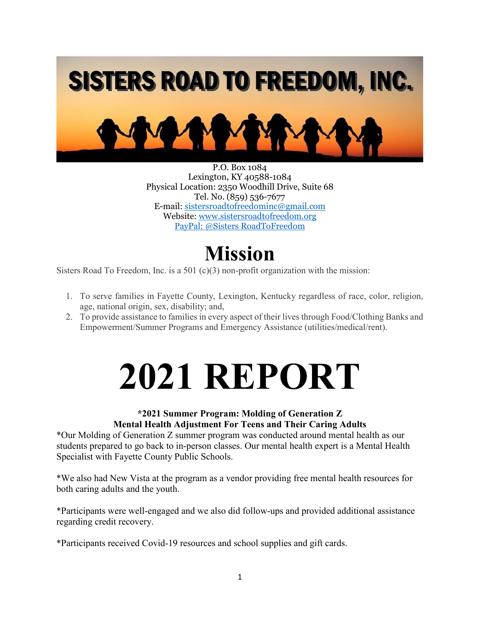

P.O. Box 1084 Lexington, KY 40588-1084 Physical Location: 2350 Woodhill Drive, Suite 68 Tel. No. (859) 536-7677 E-mail[: sistersroadtofreedominc@gmail.com](mailto:sistersroadtofreedominc@gmail.com)  Website[: www.sistersroadtofreedom.org](http://www.sistersroadtofreedom.org/) PayPal: @Sisters RoadToFreedom

### **Mission**

Sisters Road To Freedom, Inc. is a 501 (c)(3) non-profit organization with the mission:

- 1. To serve families in Fayette County, Lexington, Kentucky regardless of race, color, religion, age, national origin, sex, disability; and,
- 2. To provide assistance to families in every aspect of their lives through Food/Clothing Banks and Empowerment/Summer Programs and Emergency Assistance (utilities/medical/rent).

# **2021 REPORT**

#### **\*2021 Summer Program: Molding of Generation Z Mental Health Adjustment For Teens and Their Caring Adults**

\*Our Molding of Generation Z summer program was conducted around mental health as our students prepared to go back to in-person classes. Our mental health expert is a Mental Health Specialist with Fayette County Public Schools.

\*We also had New Vista at the program as a vendor providing free mental health resources for both caring adults and the youth.

\*Participants were well-engaged and we also did follow-ups and provided additional assistance regarding credit recovery.

\*Participants received Covid-19 resources and school supplies and gift cards.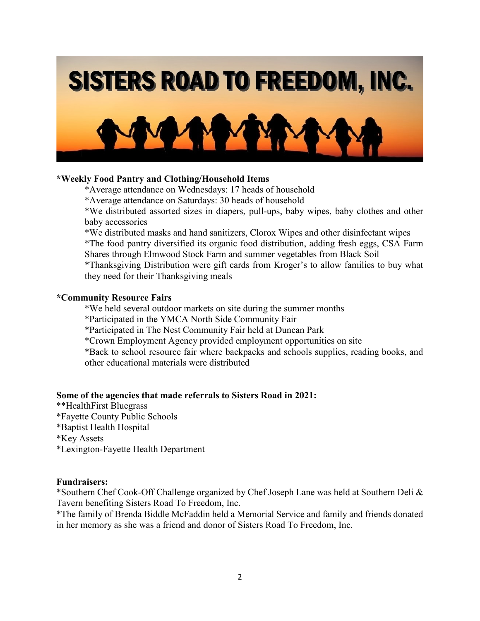

#### **\*Weekly Food Pantry and Clothing/Household Items**

\*Average attendance on Wednesdays: 17 heads of household

\*Average attendance on Saturdays: 30 heads of household

\*We distributed assorted sizes in diapers, pull-ups, baby wipes, baby clothes and other baby accessories

\*We distributed masks and hand sanitizers, Clorox Wipes and other disinfectant wipes

\*The food pantry diversified its organic food distribution, adding fresh eggs, CSA Farm Shares through Elmwood Stock Farm and summer vegetables from Black Soil

\*Thanksgiving Distribution were gift cards from Kroger's to allow families to buy what they need for their Thanksgiving meals

#### **\*Community Resource Fairs**

\*We held several outdoor markets on site during the summer months

\*Participated in the YMCA North Side Community Fair

\*Participated in The Nest Community Fair held at Duncan Park

\*Crown Employment Agency provided employment opportunities on site

\*Back to school resource fair where backpacks and schools supplies, reading books, and other educational materials were distributed

#### **Some of the agencies that made referrals to Sisters Road in 2021:**

\*\*HealthFirst Bluegrass \*Fayette County Public Schools \*Baptist Health Hospital \*Key Assets \*Lexington-Fayette Health Department

#### **Fundraisers:**

\*Southern Chef Cook-Off Challenge organized by Chef Joseph Lane was held at Southern Deli & Tavern benefiting Sisters Road To Freedom, Inc.

\*The family of Brenda Biddle McFaddin held a Memorial Service and family and friends donated in her memory as she was a friend and donor of Sisters Road To Freedom, Inc.